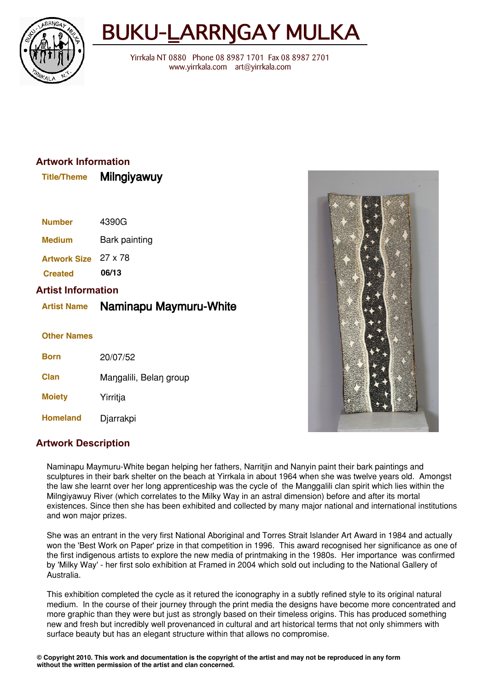

# BUKU-LARRNGAY MULKA

Yirrkala NT 0880 Phone 08 8987 1701 Fax 08 8987 2701 www.yirrkala.com art@yirrkala.com

### **Artwork Information**

| .             | www.gryaway   |
|---------------|---------------|
| <b>Number</b> | 4390G         |
| <b>Medium</b> | Bark painting |
|               |               |

**Title/Theme** Milngiyawuy

**Artwork Size** 27 x 78 **Created 06/13**

#### **Artist Information**

## **Artist Name** Naminapu Maymuru-White

#### **Other Names**

| Born            | 20/07/52               |
|-----------------|------------------------|
| <b>Clan</b>     | Mangalili, Belan group |
| <b>Moiety</b>   | Yirritja               |
| <b>Homeland</b> | Djarrakpi              |



#### **Artwork Description**

Naminapu Maymuru-White began helping her fathers, Narritjin and Nanyin paint their bark paintings and sculptures in their bark shelter on the beach at Yirrkala in about 1964 when she was twelve years old. Amongst the law she learnt over her long apprenticeship was the cycle of the Manggalili clan spirit which lies within the Milngiyawuy River (which correlates to the Milky Way in an astral dimension) before and after its mortal existences. Since then she has been exhibited and collected by many major national and international institutions and won major prizes.

She was an entrant in the very first National Aboriginal and Torres Strait Islander Art Award in 1984 and actually won the 'Best Work on Paper' prize in that competition in 1996. This award recognised her significance as one of the first indigenous artists to explore the new media of printmaking in the 1980s. Her importance was confirmed by 'Milky Way' - her first solo exhibition at Framed in 2004 which sold out including to the National Gallery of Australia.

This exhibition completed the cycle as it retured the iconography in a subtly refined style to its original natural medium. In the course of their journey through the print media the designs have become more concentrated and more graphic than they were but just as strongly based on their timeless origins. This has produced something new and fresh but incredibly well provenanced in cultural and art historical terms that not only shimmers with surface beauty but has an elegant structure within that allows no compromise.

 $\circledcirc$  Copyright 2010. This work and documentation is the copyright of the artist and may not be reproduced in any form without the written permission of the artist and clan concerned.